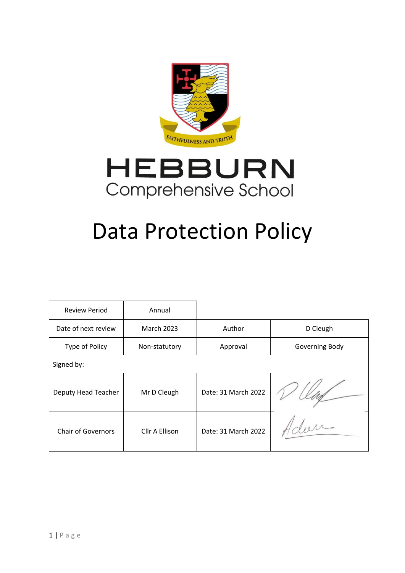



# Data Protection Policy

| <b>Review Period</b>      | Annual            |                     |                |  |
|---------------------------|-------------------|---------------------|----------------|--|
| Date of next review       | <b>March 2023</b> |                     | D Cleugh       |  |
| Type of Policy            | Non-statutory     | Approval            | Governing Body |  |
| Signed by:                |                   |                     |                |  |
| Deputy Head Teacher       | Mr D Cleugh       | Date: 31 March 2022 |                |  |
| <b>Chair of Governors</b> | Cllr A Ellison    | Date: 31 March 2022 |                |  |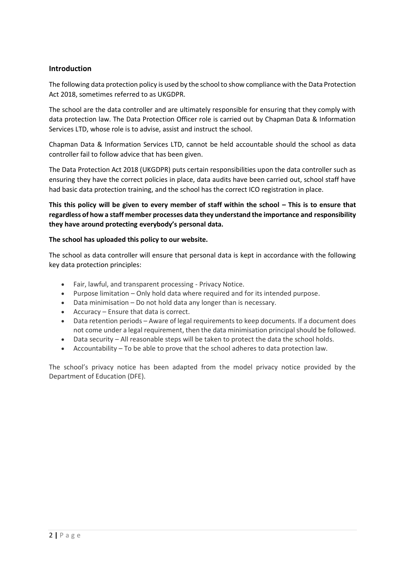# **Introduction**

The following data protection policy is used by the school to show compliance with the Data Protection Act 2018, sometimes referred to as UKGDPR.

The school are the data controller and are ultimately responsible for ensuring that they comply with data protection law. The Data Protection Officer role is carried out by Chapman Data & Information Services LTD, whose role is to advise, assist and instruct the school.

Chapman Data & Information Services LTD, cannot be held accountable should the school as data controller fail to follow advice that has been given.

The Data Protection Act 2018 (UKGDPR) puts certain responsibilities upon the data controller such as ensuring they have the correct policies in place, data audits have been carried out, school staff have had basic data protection training, and the school has the correct ICO registration in place.

**This this policy will be given to every member of staff within the school – This is to ensure that regardless of how a staff member processes data they understand the importance and responsibility they have around protecting everybody's personal data.**

## **The school has uploaded this policy to our website.**

The school as data controller will ensure that personal data is kept in accordance with the following key data protection principles:

- Fair, lawful, and transparent processing Privacy Notice.
- Purpose limitation Only hold data where required and for its intended purpose.
- Data minimisation Do not hold data any longer than is necessary.
- Accuracy Ensure that data is correct.
- Data retention periods Aware of legal requirements to keep documents. If a document does not come under a legal requirement, then the data minimisation principal should be followed.
- Data security All reasonable steps will be taken to protect the data the school holds.
- Accountability To be able to prove that the school adheres to data protection law.

The school's privacy notice has been adapted from the model privacy notice provided by the Department of Education (DFE).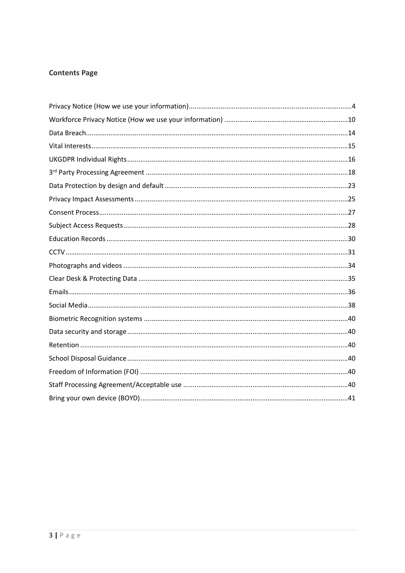# **Contents Page**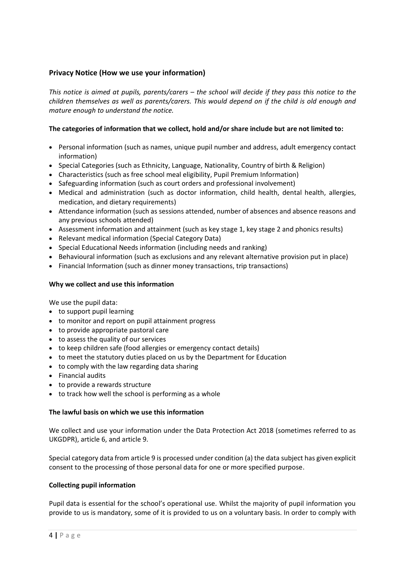# <span id="page-3-0"></span>**Privacy Notice (How we use your information)**

*This notice is aimed at pupils, parents/carers – the school will decide if they pass this notice to the children themselves as well as parents/carers. This would depend on if the child is old enough and mature enough to understand the notice.*

# **The categories of information that we collect, hold and/or share include but are not limited to:**

- Personal information (such as names, unique pupil number and address, adult emergency contact information)
- Special Categories (such as Ethnicity, Language, Nationality, Country of birth & Religion)
- Characteristics (such as free school meal eligibility, Pupil Premium Information)
- Safeguarding information (such as court orders and professional involvement)
- Medical and administration (such as doctor information, child health, dental health, allergies, medication, and dietary requirements)
- Attendance information (such as sessions attended, number of absences and absence reasons and any previous schools attended)
- Assessment information and attainment (such as key stage 1, key stage 2 and phonics results)
- Relevant medical information (Special Category Data)
- Special Educational Needs information (including needs and ranking)
- Behavioural information (such as exclusions and any relevant alternative provision put in place)
- Financial Information (such as dinner money transactions, trip transactions)

#### **Why we collect and use this information**

We use the pupil data:

- to support pupil learning
- to monitor and report on pupil attainment progress
- to provide appropriate pastoral care
- to assess the quality of our services
- to keep children safe (food allergies or emergency contact details)
- to meet the statutory duties placed on us by the Department for Education
- to comply with the law regarding data sharing
- Financial audits
- to provide a rewards structure
- to track how well the school is performing as a whole

#### **The lawful basis on which we use this information**

We collect and use your information under the Data Protection Act 2018 (sometimes referred to as UKGDPR), article 6, and article 9.

Special category data from article 9 is processed under condition (a) the data subject has given explicit consent to the processing of those personal data for one or more specified purpose.

#### **Collecting pupil information**

Pupil data is essential for the school's operational use. Whilst the majority of pupil information you provide to us is mandatory, some of it is provided to us on a voluntary basis. In order to comply with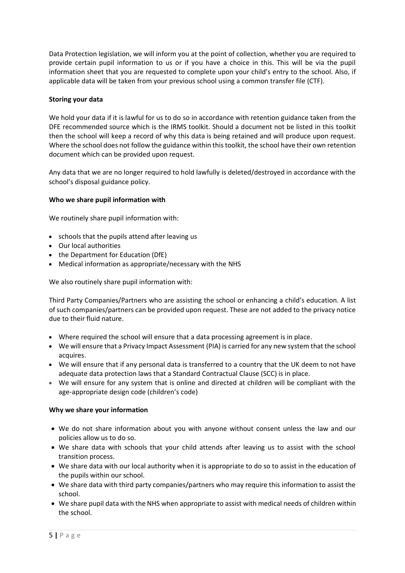Data Protection legislation, we will inform you at the point of collection, whether you are required to provide certain pupil information to us or if you have a choice in this. This will be via the pupil information sheet that you are requested to complete upon your child's entry to the school. Also, if applicable data will be taken from your previous school using a common transfer file (CTF).

## **Storing your data**

We hold your data if it is lawful for us to do so in accordance with retention guidance taken from the DFE recommended source which is the IRMS toolkit. Should a document not be listed in this toolkit then the school will keep a record of why this data is being retained and will produce upon request. Where the school does not follow the guidance within this toolkit, the school have their own retention document which can be provided upon request.

Any data that we are no longer required to hold lawfully is deleted/destroyed in accordance with the school's disposal guidance policy.

## **Who we share pupil information with**

We routinely share pupil information with:

- schools that the pupils attend after leaving us
- Our local authorities
- the Department for Education (DfE)
- Medical information as appropriate/necessary with the NHS

We also routinely share pupil information with:

Third Party Companies/Partners who are assisting the school or enhancing a child's education. A list of such companies/partners can be provided upon request. These are not added to the privacy notice due to their fluid nature.

- Where required the school will ensure that a data processing agreement is in place.
- We will ensure that a Privacy Impact Assessment (PIA) is carried for any new system that the school acquires.
- We will ensure that if any personal data is transferred to a country that the UK deem to not have adequate data protection laws that a Standard Contractual Clause (SCC) is in place.
- We will ensure for any system that is online and directed at children will be compliant with the age-appropriate design code (children's code)

#### **Why we share your information**

- We do not share information about you with anyone without consent unless the law and our policies allow us to do so.
- We share data with schools that your child attends after leaving us to assist with the school transition process.
- We share data with our local authority when it is appropriate to do so to assist in the education of the pupils within our school.
- We share data with third party companies/partners who may require this information to assist the school.
- We share pupil data with the NHS when appropriate to assist with medical needs of children within the school.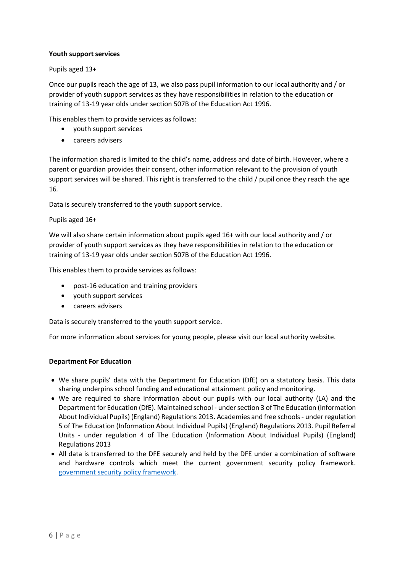## **Youth support services**

Pupils aged 13+

Once our pupils reach the age of 13, we also pass pupil information to our local authority and / or provider of youth support services as they have responsibilities in relation to the education or training of 13-19 year olds under section 507B of the Education Act 1996.

This enables them to provide services as follows:

- youth support services
- careers advisers

The information shared is limited to the child's name, address and date of birth. However, where a parent or guardian provides their consent, other information relevant to the provision of youth support services will be shared. This right is transferred to the child / pupil once they reach the age 16*.*

Data is securely transferred to the youth support service.

Pupils aged 16+

We will also share certain information about pupils aged 16+ with our local authority and / or provider of youth support services as they have responsibilities in relation to the education or training of 13-19 year olds under section 507B of the Education Act 1996.

This enables them to provide services as follows:

- post-16 education and training providers
- youth support services
- careers advisers

Data is securely transferred to the youth support service.

For more information about services for young people, please visit our local authority website.

#### **Department For Education**

- We share pupils' data with the Department for Education (DfE) on a statutory basis. This data sharing underpins school funding and educational attainment policy and monitoring.
- We are required to share information about our pupils with our local authority (LA) and the Department for Education (DfE). Maintained school - under section 3 of The Education (Information About Individual Pupils) (England) Regulations 2013. Academies and free schools - under regulation 5 of The Education (Information About Individual Pupils) (England) Regulations 2013. Pupil Referral Units - under regulation 4 of The Education (Information About Individual Pupils) (England) Regulations 2013
- All data is transferred to the DFE securely and held by the DFE under a combination of software and hardware controls which meet the current government security policy framework. [government security policy framework.](https://www.gov.uk/government/publications/security-policy-framework)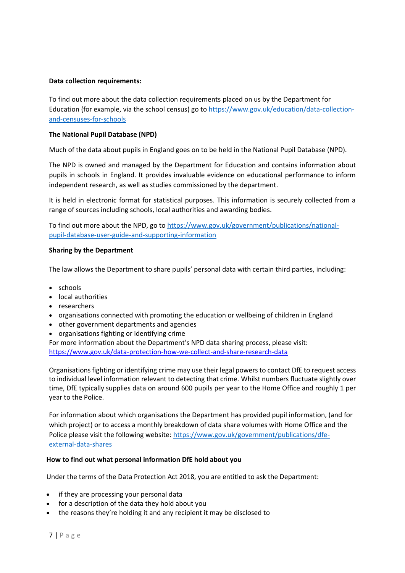#### **Data collection requirements:**

To find out more about the data collection requirements placed on us by the Department for Education (for example, via the school census) go to [https://www.gov.uk/education/data-collection](https://www.gov.uk/education/data-collection-and-censuses-for-schools)[and-censuses-for-schools](https://www.gov.uk/education/data-collection-and-censuses-for-schools)

## **The National Pupil Database (NPD)**

Much of the data about pupils in England goes on to be held in the National Pupil Database (NPD).

The NPD is owned and managed by the Department for Education and contains information about pupils in schools in England. It provides invaluable evidence on educational performance to inform independent research, as well as studies commissioned by the department.

It is held in electronic format for statistical purposes. This information is securely collected from a range of sources including schools, local authorities and awarding bodies.

To find out more about the NPD, go to [https://www.gov.uk/government/publications/national](https://www.gov.uk/government/publications/national-pupil-database-user-guide-and-supporting-information)[pupil-database-user-guide-and-supporting-information](https://www.gov.uk/government/publications/national-pupil-database-user-guide-and-supporting-information)

## **Sharing by the Department**

The law allows the Department to share pupils' personal data with certain third parties, including:

- schools
- local authorities
- researchers
- organisations connected with promoting the education or wellbeing of children in England
- other government departments and agencies
- organisations fighting or identifying crime

For more information about the Department's NPD data sharing process, please visit: <https://www.gov.uk/data-protection-how-we-collect-and-share-research-data>

Organisations fighting or identifying crime may use their legal powers to contact DfE to request access to individual level information relevant to detecting that crime. Whilst numbers fluctuate slightly over time, DfE typically supplies data on around 600 pupils per year to the Home Office and roughly 1 per year to the Police.

For information about which organisations the Department has provided pupil information, (and for which project) or to access a monthly breakdown of data share volumes with Home Office and the Police please visit the following website[: https://www.gov.uk/government/publications/dfe](https://www.gov.uk/government/publications/dfe-external-data-shares)[external-data-shares](https://www.gov.uk/government/publications/dfe-external-data-shares)

#### **How to find out what personal information DfE hold about you**

Under the terms of the Data Protection Act 2018, you are entitled to ask the Department:

- if they are processing your personal data
- for a description of the data they hold about you
- the reasons they're holding it and any recipient it may be disclosed to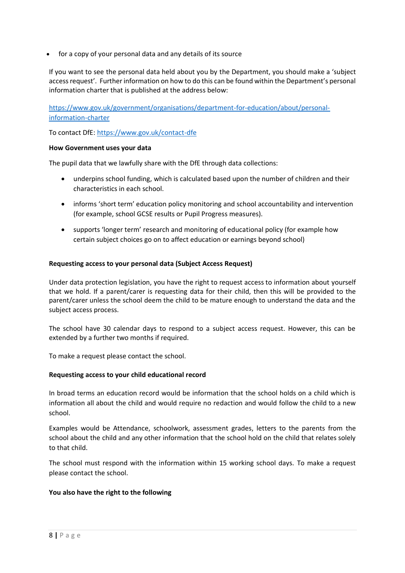• for a copy of your personal data and any details of its source

If you want to see the personal data held about you by the Department, you should make a 'subject access request'. Further information on how to do this can be found within the Department's personal information charter that is published at the address below:

[https://www.gov.uk/government/organisations/department-for-education/about/personal](https://www.gov.uk/government/organisations/department-for-education/about/personal-information-charter)[information-charter](https://www.gov.uk/government/organisations/department-for-education/about/personal-information-charter)

To contact DfE[: https://www.gov.uk/contact-dfe](https://www.gov.uk/contact-dfe)

#### **How Government uses your data**

The pupil data that we lawfully share with the DfE through data collections:

- underpins school funding, which is calculated based upon the number of children and their characteristics in each school.
- informs 'short term' education policy monitoring and school accountability and intervention (for example, school GCSE results or Pupil Progress measures).
- supports 'longer term' research and monitoring of educational policy (for example how certain subject choices go on to affect education or earnings beyond school)

#### **Requesting access to your personal data (Subject Access Request)**

Under data protection legislation, you have the right to request access to information about yourself that we hold. If a parent/carer is requesting data for their child, then this will be provided to the parent/carer unless the school deem the child to be mature enough to understand the data and the subject access process.

The school have 30 calendar days to respond to a subject access request. However, this can be extended by a further two months if required.

To make a request please contact the school.

#### **Requesting access to your child educational record**

In broad terms an education record would be information that the school holds on a child which is information all about the child and would require no redaction and would follow the child to a new school.

Examples would be Attendance, schoolwork, assessment grades, letters to the parents from the school about the child and any other information that the school hold on the child that relates solely to that child.

The school must respond with the information within 15 working school days. To make a request please contact the school.

#### **You also have the right to the following**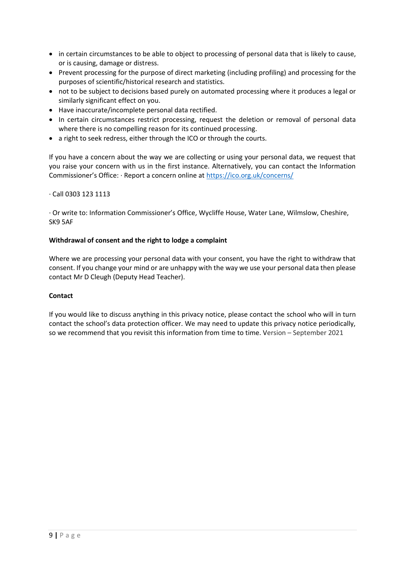- in certain circumstances to be able to object to processing of personal data that is likely to cause, or is causing, damage or distress.
- Prevent processing for the purpose of direct marketing (including profiling) and processing for the purposes of scientific/historical research and statistics.
- not to be subject to decisions based purely on automated processing where it produces a legal or similarly significant effect on you.
- Have inaccurate/incomplete personal data rectified.
- In certain circumstances restrict processing, request the deletion or removal of personal data where there is no compelling reason for its continued processing.
- a right to seek redress, either through the ICO or through the courts.

If you have a concern about the way we are collecting or using your personal data, we request that you raise your concern with us in the first instance. Alternatively, you can contact the Information Commissioner's Office: · Report a concern online at <https://ico.org.uk/concerns/>

## · Call 0303 123 1113

· Or write to: Information Commissioner's Office, Wycliffe House, Water Lane, Wilmslow, Cheshire, SK9 5AF

## **Withdrawal of consent and the right to lodge a complaint**

Where we are processing your personal data with your consent, you have the right to withdraw that consent. If you change your mind or are unhappy with the way we use your personal data then please contact Mr D Cleugh (Deputy Head Teacher).

#### **Contact**

If you would like to discuss anything in this privacy notice, please contact the school who will in turn contact the school's data protection officer. We may need to update this privacy notice periodically, so we recommend that you revisit this information from time to time. Version – September 2021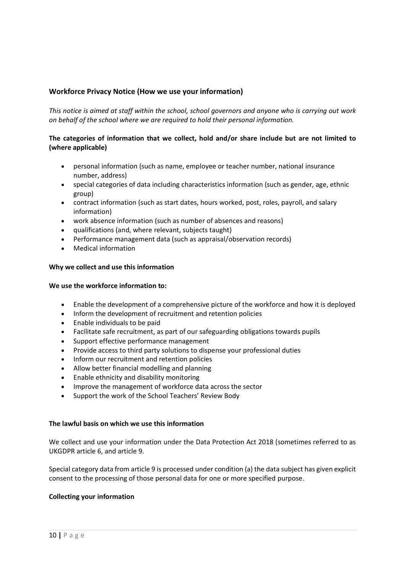# <span id="page-9-0"></span>**Workforce Privacy Notice (How we use your information)**

*This notice is aimed at staff within the school, school governors and anyone who is carrying out work on behalf of the school where we are required to hold their personal information.*

## **The categories of information that we collect, hold and/or share include but are not limited to (where applicable)**

- personal information (such as name, employee or teacher number, national insurance number, address)
- special categories of data including characteristics information (such as gender, age, ethnic group)
- contract information (such as start dates, hours worked, post, roles, payroll, and salary information)
- work absence information (such as number of absences and reasons)
- qualifications (and, where relevant, subjects taught)
- Performance management data (such as appraisal/observation records)
- Medical information

#### **Why we collect and use this information**

#### **We use the workforce information to:**

- Enable the development of a comprehensive picture of the workforce and how it is deployed
- Inform the development of recruitment and retention policies
- Enable individuals to be paid
- Facilitate safe recruitment, as part of our safeguarding obligations towards pupils
- Support effective performance management
- Provide access to third party solutions to dispense your professional duties
- Inform our recruitment and retention policies
- Allow better financial modelling and planning
- Enable ethnicity and disability monitoring
- Improve the management of workforce data across the sector
- Support the work of the School Teachers' Review Body

#### **The lawful basis on which we use this information**

We collect and use your information under the Data Protection Act 2018 (sometimes referred to as UKGDPR article 6, and article 9.

Special category data from article 9 is processed under condition (a) the data subject has given explicit consent to the processing of those personal data for one or more specified purpose.

#### **Collecting your information**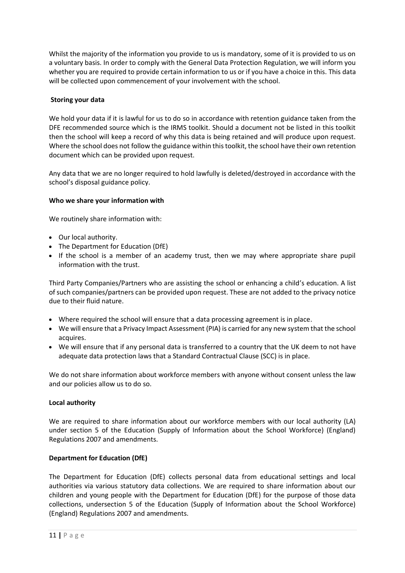Whilst the majority of the information you provide to us is mandatory, some of it is provided to us on a voluntary basis. In order to comply with the General Data Protection Regulation, we will inform you whether you are required to provide certain information to us or if you have a choice in this. This data will be collected upon commencement of your involvement with the school.

# **Storing your data**

We hold your data if it is lawful for us to do so in accordance with retention guidance taken from the DFE recommended source which is the IRMS toolkit. Should a document not be listed in this toolkit then the school will keep a record of why this data is being retained and will produce upon request. Where the school does not follow the guidance within this toolkit, the school have their own retention document which can be provided upon request.

Any data that we are no longer required to hold lawfully is deleted/destroyed in accordance with the school's disposal guidance policy.

# **Who we share your information with**

We routinely share information with:

- Our local authority.
- The Department for Education (DfE)
- If the school is a member of an academy trust, then we may where appropriate share pupil information with the trust.

Third Party Companies/Partners who are assisting the school or enhancing a child's education. A list of such companies/partners can be provided upon request. These are not added to the privacy notice due to their fluid nature.

- Where required the school will ensure that a data processing agreement is in place.
- We will ensure that a Privacy Impact Assessment (PIA) is carried for any new system that the school acquires.
- We will ensure that if any personal data is transferred to a country that the UK deem to not have adequate data protection laws that a Standard Contractual Clause (SCC) is in place.

We do not share information about workforce members with anyone without consent unless the law and our policies allow us to do so.

# **Local authority**

We are required to share information about our workforce members with our local authority (LA) under section 5 of the Education (Supply of Information about the School Workforce) (England) Regulations 2007 and amendments.

# **Department for Education (DfE)**

The Department for Education (DfE) collects personal data from educational settings and local authorities via various statutory data collections. We are required to share information about our children and young people with the Department for Education (DfE) for the purpose of those data collections, undersection 5 of the Education (Supply of Information about the School Workforce) (England) Regulations 2007 and amendments.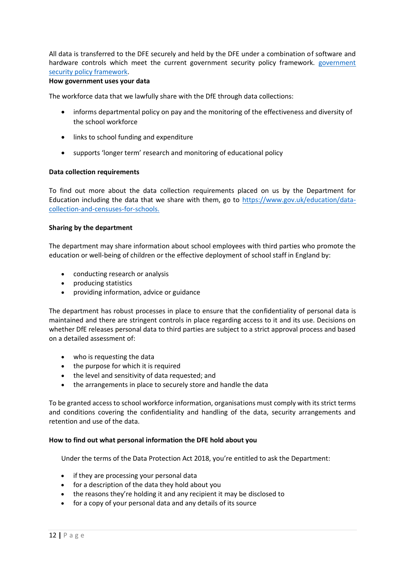All data is transferred to the DFE securely and held by the DFE under a combination of software and hardware controls which meet the current [government](https://www.gov.uk/government/publications/security-policy-framework) security policy framework. government [security policy framework.](https://www.gov.uk/government/publications/security-policy-framework)

#### **How government uses your data**

The workforce data that we lawfully share with the DfE through data collections:

- informs departmental policy on pay and the monitoring of the effectiveness and diversity of the school workforce
- links to school funding and expenditure
- supports 'longer term' research and monitoring of educational policy

#### **Data collection requirements**

To find out more about the data collection requirements placed on us by the Department for Education including the data that we share with them, go to [https://www.gov.uk/education/data](https://www.gov.uk/education/data-collection-and-censuses-for-schools.)[collection-and-censuses-for-schools.](https://www.gov.uk/education/data-collection-and-censuses-for-schools.)

#### **Sharing by the department**

The department may share information about school employees with third parties who promote the education or well-being of children or the effective deployment of school staff in England by:

- conducting research or analysis
- producing statistics
- providing information, advice or guidance

The department has robust processes in place to ensure that the confidentiality of personal data is maintained and there are stringent controls in place regarding access to it and its use. Decisions on whether DfE releases personal data to third parties are subject to a strict approval process and based on a detailed assessment of:

- who is requesting the data
- the purpose for which it is required
- the level and sensitivity of data requested; and
- the arrangements in place to securely store and handle the data

To be granted access to school workforce information, organisations must comply with its strict terms and conditions covering the confidentiality and handling of the data, security arrangements and retention and use of the data.

#### **How to find out what personal information the DFE hold about you**

Under the terms of the Data Protection Act 2018, you're entitled to ask the Department:

- if they are processing your personal data
- for a description of the data they hold about you
- the reasons they're holding it and any recipient it may be disclosed to
- for a copy of your personal data and any details of its source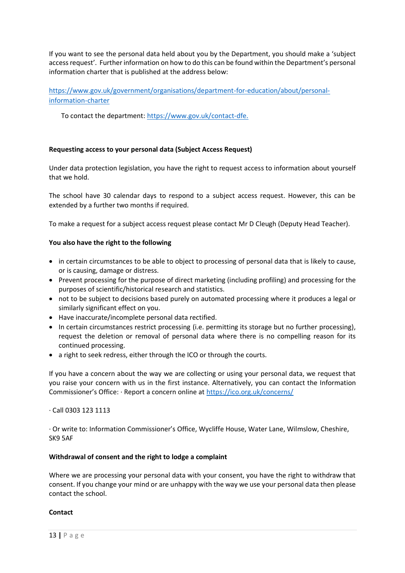If you want to see the personal data held about you by the Department, you should make a 'subject access request'. Further information on how to do this can be found within the Department's personal information charter that is published at the address below:

[https://www.gov.uk/government/organisations/department-for-education/about/personal](https://www.gov.uk/government/organisations/department-for-education/about/personal-information-charter)[information-charter](https://www.gov.uk/government/organisations/department-for-education/about/personal-information-charter)

To contact the department: [https://www.gov.uk/contact-dfe.](https://www.gov.uk/contact-dfe)

# **Requesting access to your personal data (Subject Access Request)**

Under data protection legislation, you have the right to request access to information about yourself that we hold.

The school have 30 calendar days to respond to a subject access request. However, this can be extended by a further two months if required.

To make a request for a subject access request please contact Mr D Cleugh (Deputy Head Teacher).

# **You also have the right to the following**

- in certain circumstances to be able to object to processing of personal data that is likely to cause, or is causing, damage or distress.
- Prevent processing for the purpose of direct marketing (including profiling) and processing for the purposes of scientific/historical research and statistics.
- not to be subject to decisions based purely on automated processing where it produces a legal or similarly significant effect on you.
- Have inaccurate/incomplete personal data rectified.
- In certain circumstances restrict processing (i.e. permitting its storage but no further processing), request the deletion or removal of personal data where there is no compelling reason for its continued processing.
- a right to seek redress, either through the ICO or through the courts.

If you have a concern about the way we are collecting or using your personal data, we request that you raise your concern with us in the first instance. Alternatively, you can contact the Information Commissioner's Office: · Report a concern online at <https://ico.org.uk/concerns/>

# · Call 0303 123 1113

· Or write to: Information Commissioner's Office, Wycliffe House, Water Lane, Wilmslow, Cheshire, SK9 5AF

# **Withdrawal of consent and the right to lodge a complaint**

Where we are processing your personal data with your consent, you have the right to withdraw that consent. If you change your mind or are unhappy with the way we use your personal data then please contact the school.

# **Contact**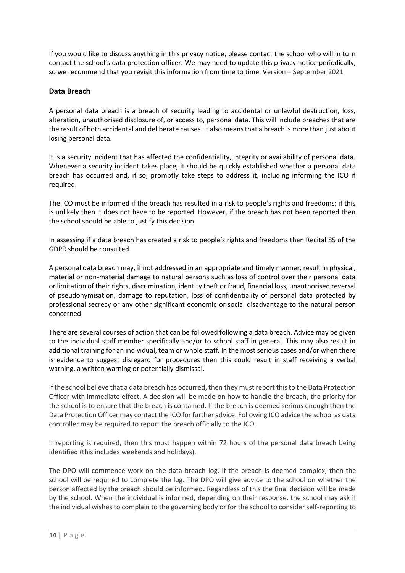If you would like to discuss anything in this privacy notice, please contact the school who will in turn contact the school's data protection officer. We may need to update this privacy notice periodically, so we recommend that you revisit this information from time to time. Version – September 2021

# <span id="page-13-0"></span>**Data Breach**

A personal data breach is a breach of security leading to accidental or unlawful destruction, loss, alteration, unauthorised disclosure of, or access to, personal data. This will include breaches that are the result of both accidental and deliberate causes. It also means that a breach is more than just about losing personal data.

It is a security incident that has affected the confidentiality, integrity or availability of personal data. Whenever a security incident takes place, it should be quickly established whether a personal data breach has occurred and, if so, promptly take steps to address it, including informing the ICO if required.

The ICO must be informed if the breach has resulted in a risk to people's rights and freedoms; if this is unlikely then it does not have to be reported. However, if the breach has not been reported then the school should be able to justify this decision.

In assessing if a data breach has created a risk to people's rights and freedoms then Recital 85 of the GDPR should be consulted.

A personal data breach may, if not addressed in an appropriate and timely manner, result in physical, material or non-material damage to natural persons such as loss of control over their personal data or limitation of their rights, discrimination, identity theft or fraud, financial loss, unauthorised reversal of pseudonymisation, damage to reputation, loss of confidentiality of personal data protected by professional secrecy or any other significant economic or social disadvantage to the natural person concerned.

There are several courses of action that can be followed following a data breach. Advice may be given to the individual staff member specifically and/or to school staff in general. This may also result in additional training for an individual, team or whole staff. In the most serious cases and/or when there is evidence to suggest disregard for procedures then this could result in staff receiving a verbal warning, a written warning or potentially dismissal.

If the school believe that a data breach has occurred, then they must report this to the Data Protection Officer with immediate effect. A decision will be made on how to handle the breach, the priority for the school is to ensure that the breach is contained. If the breach is deemed serious enough then the Data Protection Officer may contact the ICO for further advice. Following ICO advice the school as data controller may be required to report the breach officially to the ICO.

If reporting is required, then this must happen within 72 hours of the personal data breach being identified (this includes weekends and holidays).

The DPO will commence work on the data breach log. If the breach is deemed complex, then the school will be required to complete the log**.** The DPO will give advice to the school on whether the person affected by the breach should be informed**.** Regardless of this the final decision will be made by the school. When the individual is informed, depending on their response, the school may ask if the individual wishes to complain to the governing body or for the school to consider self-reporting to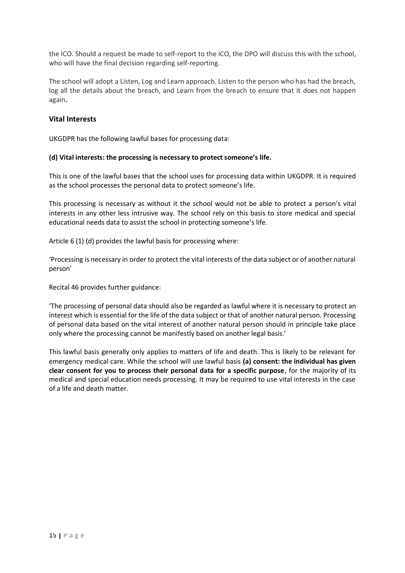the ICO. Should a request be made to self-report to the ICO, the DPO will discuss this with the school, who will have the final decision regarding self-reporting.

The school will adopt a Listen, Log and Learn approach. Listen to the person who has had the breach, log all the details about the breach, and Learn from the breach to ensure that it does not happen again**.**

## <span id="page-14-0"></span>**Vital Interests**

UKGDPR has the following lawful bases for processing data:

#### **(d) Vital interests: the processing is necessary to protect someone's life.**

This is one of the lawful bases that the school uses for processing data within UKGDPR. It is required as the school processes the personal data to protect someone's life.

This processing is necessary as without it the school would not be able to protect a person's vital interests in any other less intrusive way. The school rely on this basis to store medical and special educational needs data to assist the school in protecting someone's life.

Article 6 (1) (d) provides the lawful basis for processing where:

'Processing is necessary in order to protect the vital interests of the data subject or of another natural person'

Recital 46 provides further guidance:

'The processing of personal data should also be regarded as lawful where it is necessary to protect an interest which is essential for the life of the data subject or that of another natural person. Processing of personal data based on the vital interest of another natural person should in principle take place only where the processing cannot be manifestly based on another legal basis.'

This lawful basis generally only applies to matters of life and death. This is likely to be relevant for emergency medical care. While the school will use lawful basis **(a) consent: the individual has given clear consent for you to process their personal data for a specific purpose**, for the majority of its medical and special education needs processing. It may be required to use vital interests in the case of a life and death matter.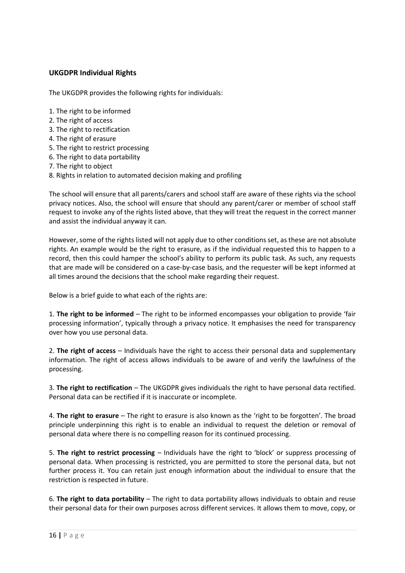# <span id="page-15-0"></span>**UKGDPR Individual Rights**

The UKGDPR provides the following rights for individuals:

- 1. The right to be informed
- 2. The right of access
- 3. The right to rectification
- 4. The right of erasure
- 5. The right to restrict processing
- 6. The right to data portability
- 7. The right to object
- 8. Rights in relation to automated decision making and profiling

The school will ensure that all parents/carers and school staff are aware of these rights via the school privacy notices. Also, the school will ensure that should any parent/carer or member of school staff request to invoke any of the rights listed above, that they will treat the request in the correct manner and assist the individual anyway it can.

However, some of the rights listed will not apply due to other conditions set, as these are not absolute rights. An example would be the right to erasure, as if the individual requested this to happen to a record, then this could hamper the school's ability to perform its public task. As such, any requests that are made will be considered on a case-by-case basis, and the requester will be kept informed at all times around the decisions that the school make regarding their request.

Below is a brief guide to what each of the rights are:

1. **The right to be informed** – The right to be informed encompasses your obligation to provide 'fair processing information', typically through a privacy notice. It emphasises the need for transparency over how you use personal data.

2. **The right of access** – Individuals have the right to access their personal data and supplementary information. The right of access allows individuals to be aware of and verify the lawfulness of the processing.

3. **The right to rectification** – The UKGDPR gives individuals the right to have personal data rectified. Personal data can be rectified if it is inaccurate or incomplete.

4. **The right to erasure** – The right to erasure is also known as the 'right to be forgotten'. The broad principle underpinning this right is to enable an individual to request the deletion or removal of personal data where there is no compelling reason for its continued processing.

5. **The right to restrict processing** – Individuals have the right to 'block' or suppress processing of personal data. When processing is restricted, you are permitted to store the personal data, but not further process it. You can retain just enough information about the individual to ensure that the restriction is respected in future.

6. **The right to data portability** – The right to data portability allows individuals to obtain and reuse their personal data for their own purposes across different services. It allows them to move, copy, or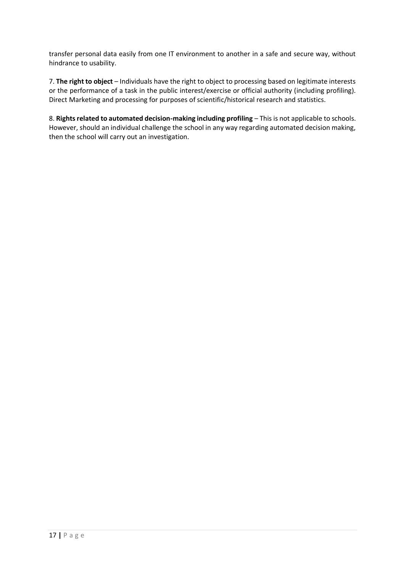transfer personal data easily from one IT environment to another in a safe and secure way, without hindrance to usability.

7. **The right to object** – Individuals have the right to object to processing based on legitimate interests or the performance of a task in the public interest/exercise or official authority (including profiling). Direct Marketing and processing for purposes of scientific/historical research and statistics.

8. **Rights related to automated decision-making including profiling** – This is not applicable to schools. However, should an individual challenge the school in any way regarding automated decision making, then the school will carry out an investigation.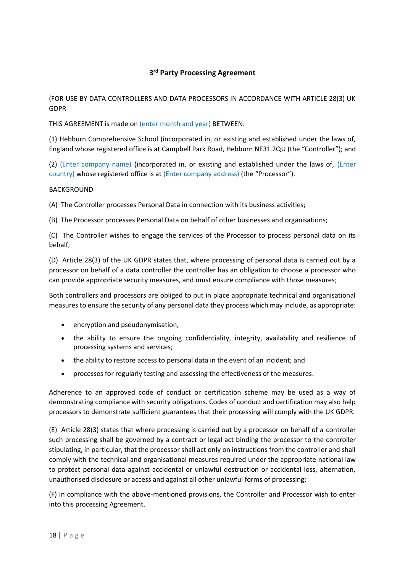# **3 rd Party Processing Agreement**

<span id="page-17-0"></span>(FOR USE BY DATA CONTROLLERS AND DATA PROCESSORS IN ACCORDANCE WITH ARTICLE 28(3) UK GDPR

THIS AGREEMENT is made on (enter month and year) BETWEEN:

(1) Hebburn Comprehensive School (incorporated in, or existing and established under the laws of, England whose registered office is at Campbell Park Road, Hebburn NE31 2QU (the "Controller"); and

(2) (Enter company name) (incorporated in, or existing and established under the laws of, (Enter country) whose registered office is at (Enter company address) (the "Processor").

#### BACKGROUND

(A) The Controller processes Personal Data in connection with its business activities;

(B) The Processor processes Personal Data on behalf of other businesses and organisations;

(C) The Controller wishes to engage the services of the Processor to process personal data on its behalf;

(D) Article 28(3) of the UK GDPR states that, where processing of personal data is carried out by a processor on behalf of a data controller the controller has an obligation to choose a processor who can provide appropriate security measures, and must ensure compliance with those measures;

Both controllers and processors are obliged to put in place appropriate technical and organisational measures to ensure the security of any personal data they process which may include, as appropriate:

- encryption and pseudonymisation;
- the ability to ensure the ongoing confidentiality, integrity, availability and resilience of processing systems and services;
- the ability to restore access to personal data in the event of an incident; and
- processes for regularly testing and assessing the effectiveness of the measures.

Adherence to an approved code of conduct or certification scheme may be used as a way of demonstrating compliance with security obligations. Codes of conduct and certification may also help processors to demonstrate sufficient guarantees that their processing will comply with the UK GDPR.

(E) Article 28(3) states that where processing is carried out by a processor on behalf of a controller such processing shall be governed by a contract or legal act binding the processor to the controller stipulating, in particular, that the processor shall act only on instructions from the controller and shall comply with the technical and organisational measures required under the appropriate national law to protect personal data against accidental or unlawful destruction or accidental loss, alternation, unauthorised disclosure or access and against all other unlawful forms of processing;

(F) In compliance with the above-mentioned provisions, the Controller and Processor wish to enter into this processing Agreement.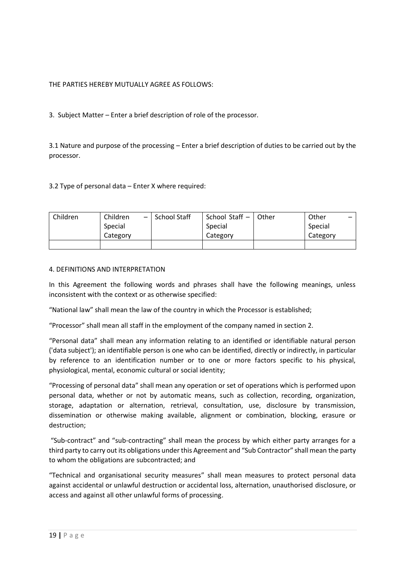# THE PARTIES HEREBY MUTUALLY AGREE AS FOLLOWS:

3. Subject Matter – Enter a brief description of role of the processor.

3.1 Nature and purpose of the processing – Enter a brief description of duties to be carried out by the processor.

# 3.2 Type of personal data – Enter X where required:

| Children | Children<br>$\overline{\phantom{a}}$ | School Staff | School Staff - | Other | Other    |
|----------|--------------------------------------|--------------|----------------|-------|----------|
|          | Special                              |              | Special        |       | Special  |
|          | Category                             |              | Category       |       | Category |
|          |                                      |              |                |       |          |

## 4. DEFINITIONS AND INTERPRETATION

In this Agreement the following words and phrases shall have the following meanings, unless inconsistent with the context or as otherwise specified:

"National law" shall mean the law of the country in which the Processor is established;

"Processor" shall mean all staff in the employment of the company named in section 2.

"Personal data" shall mean any information relating to an identified or identifiable natural person ('data subject'); an identifiable person is one who can be identified, directly or indirectly, in particular by reference to an identification number or to one or more factors specific to his physical, physiological, mental, economic cultural or social identity;

"Processing of personal data" shall mean any operation or set of operations which is performed upon personal data, whether or not by automatic means, such as collection, recording, organization, storage, adaptation or alternation, retrieval, consultation, use, disclosure by transmission, dissemination or otherwise making available, alignment or combination, blocking, erasure or destruction;

"Sub-contract" and "sub-contracting" shall mean the process by which either party arranges for a third party to carry out its obligations under this Agreement and "Sub Contractor" shall mean the party to whom the obligations are subcontracted; and

"Technical and organisational security measures" shall mean measures to protect personal data against accidental or unlawful destruction or accidental loss, alternation, unauthorised disclosure, or access and against all other unlawful forms of processing.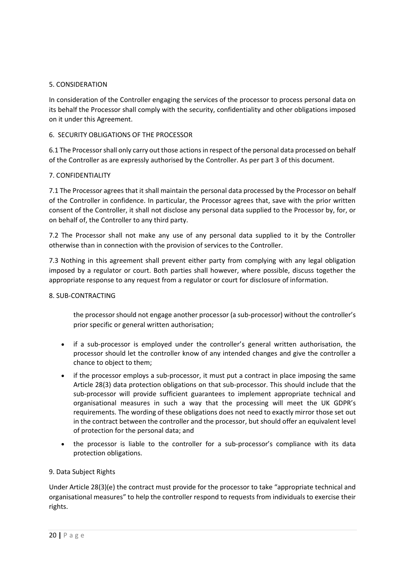#### 5. CONSIDERATION

In consideration of the Controller engaging the services of the processor to process personal data on its behalf the Processor shall comply with the security, confidentiality and other obligations imposed on it under this Agreement.

## 6. SECURITY OBLIGATIONS OF THE PROCESSOR

6.1 The Processor shall only carry out those actions in respect of the personal data processed on behalf of the Controller as are expressly authorised by the Controller. As per part 3 of this document.

## 7. CONFIDENTIALITY

7.1 The Processor agrees that it shall maintain the personal data processed by the Processor on behalf of the Controller in confidence. In particular, the Processor agrees that, save with the prior written consent of the Controller, it shall not disclose any personal data supplied to the Processor by, for, or on behalf of, the Controller to any third party.

7.2 The Processor shall not make any use of any personal data supplied to it by the Controller otherwise than in connection with the provision of services to the Controller.

7.3 Nothing in this agreement shall prevent either party from complying with any legal obligation imposed by a regulator or court. Both parties shall however, where possible, discuss together the appropriate response to any request from a regulator or court for disclosure of information.

#### 8. SUB-CONTRACTING

the processor should not engage another processor (a sub-processor) without the controller's prior specific or general written authorisation;

- if a sub-processor is employed under the controller's general written authorisation, the processor should let the controller know of any intended changes and give the controller a chance to object to them;
- if the processor employs a sub-processor, it must put a contract in place imposing the same Article 28(3) data protection obligations on that sub-processor. This should include that the sub-processor will provide sufficient guarantees to implement appropriate technical and organisational measures in such a way that the processing will meet the UK GDPR's requirements. The wording of these obligations does not need to exactly mirror those set out in the contract between the controller and the processor, but should offer an equivalent level of protection for the personal data; and
- the processor is liable to the controller for a sub-processor's compliance with its data protection obligations.

# 9. Data Subject Rights

Under Article 28(3)(e) the contract must provide for the processor to take "appropriate technical and organisational measures" to help the controller respond to requests from individuals to exercise their rights.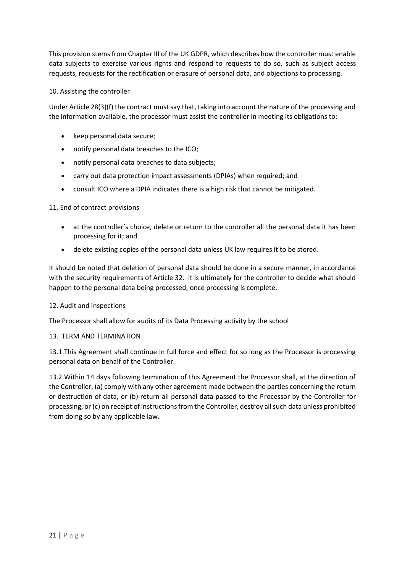This provision stems from Chapter III of the UK GDPR, which describes how the controller must enable data subjects to exercise various rights and respond to requests to do so, such as subject access requests, requests for the rectification or erasure of personal data, and objections to processing.

# 10. Assisting the controller

Under Article 28(3)(f) the contract must say that, taking into account the nature of the processing and the information available, the processor must assist the controller in meeting its obligations to:

- keep personal data secure;
- notify personal data breaches to the ICO;
- notify personal data breaches to data subjects;
- carry out data protection impact assessments (DPIAs) when required; and
- consult ICO where a DPIA indicates there is a high risk that cannot be mitigated.

# 11. End of contract provisions

- at the controller's choice, delete or return to the controller all the personal data it has been processing for it; and
- delete existing copies of the personal data unless UK law requires it to be stored.

It should be noted that deletion of personal data should be done in a secure manner, in accordance with the security requirements of Article 32. it is ultimately for the controller to decide what should happen to the personal data being processed, once processing is complete.

#### 12. Audit and inspections

The Processor shall allow for audits of its Data Processing activity by the school

# 13. TERM AND TERMINATION

13.1 This Agreement shall continue in full force and effect for so long as the Processor is processing personal data on behalf of the Controller.

13.2 Within 14 days following termination of this Agreement the Processor shall, at the direction of the Controller, (a) comply with any other agreement made between the parties concerning the return or destruction of data, or (b) return all personal data passed to the Processor by the Controller for processing, or (c) on receipt of instructions from the Controller, destroy all such data unless prohibited from doing so by any applicable law.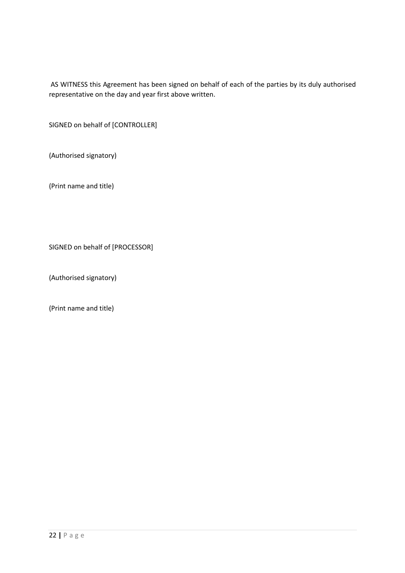AS WITNESS this Agreement has been signed on behalf of each of the parties by its duly authorised representative on the day and year first above written.

SIGNED on behalf of [CONTROLLER]

(Authorised signatory)

(Print name and title)

SIGNED on behalf of [PROCESSOR]

(Authorised signatory)

(Print name and title)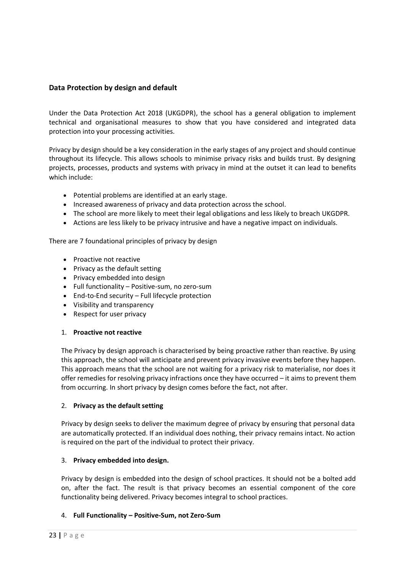# <span id="page-22-0"></span>**Data Protection by design and default**

Under the Data Protection Act 2018 (UKGDPR), the school has a general obligation to implement technical and organisational measures to show that you have considered and integrated data protection into your processing activities.

Privacy by design should be a key consideration in the early stages of any project and should continue throughout its lifecycle. This allows schools to minimise privacy risks and builds trust. By designing projects, processes, products and systems with privacy in mind at the outset it can lead to benefits which include:

- Potential problems are identified at an early stage.
- Increased awareness of privacy and data protection across the school.
- The school are more likely to meet their legal obligations and less likely to breach UKGDPR.
- Actions are less likely to be privacy intrusive and have a negative impact on individuals.

There are 7 foundational principles of privacy by design

- Proactive not reactive
- Privacy as the default setting
- Privacy embedded into design
- Full functionality Positive-sum, no zero-sum
- End-to-End security Full lifecycle protection
- Visibility and transparency
- Respect for user privacy

#### 1. **Proactive not reactive**

The Privacy by design approach is characterised by being proactive rather than reactive. By using this approach, the school will anticipate and prevent privacy invasive events before they happen. This approach means that the school are not waiting for a privacy risk to materialise, nor does it offer remedies for resolving privacy infractions once they have occurred – it aims to prevent them from occurring. In short privacy by design comes before the fact, not after.

#### 2. **Privacy as the default setting**

Privacy by design seeks to deliver the maximum degree of privacy by ensuring that personal data are automatically protected. If an individual does nothing, their privacy remains intact. No action is required on the part of the individual to protect their privacy.

#### 3. **Privacy embedded into design.**

Privacy by design is embedded into the design of school practices. It should not be a bolted add on, after the fact. The result is that privacy becomes an essential component of the core functionality being delivered. Privacy becomes integral to school practices.

#### 4. **Full Functionality – Positive-Sum, not Zero-Sum**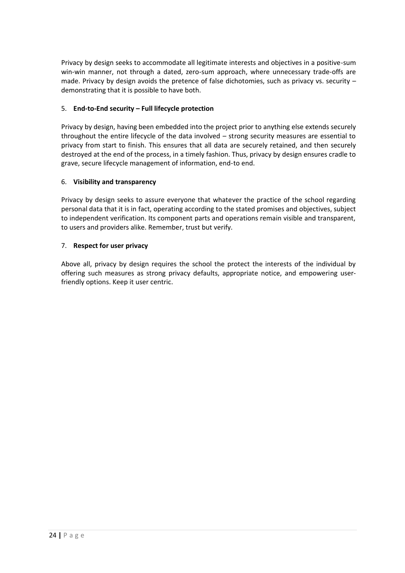Privacy by design seeks to accommodate all legitimate interests and objectives in a positive-sum win-win manner, not through a dated, zero-sum approach, where unnecessary trade-offs are made. Privacy by design avoids the pretence of false dichotomies, such as privacy vs. security – demonstrating that it is possible to have both.

# 5. **End-to-End security – Full lifecycle protection**

Privacy by design, having been embedded into the project prior to anything else extends securely throughout the entire lifecycle of the data involved – strong security measures are essential to privacy from start to finish. This ensures that all data are securely retained, and then securely destroyed at the end of the process, in a timely fashion. Thus, privacy by design ensures cradle to grave, secure lifecycle management of information, end-to end.

## 6. **Visibility and transparency**

Privacy by design seeks to assure everyone that whatever the practice of the school regarding personal data that it is in fact, operating according to the stated promises and objectives, subject to independent verification. Its component parts and operations remain visible and transparent, to users and providers alike. Remember, trust but verify.

## 7. **Respect for user privacy**

Above all, privacy by design requires the school the protect the interests of the individual by offering such measures as strong privacy defaults, appropriate notice, and empowering userfriendly options. Keep it user centric.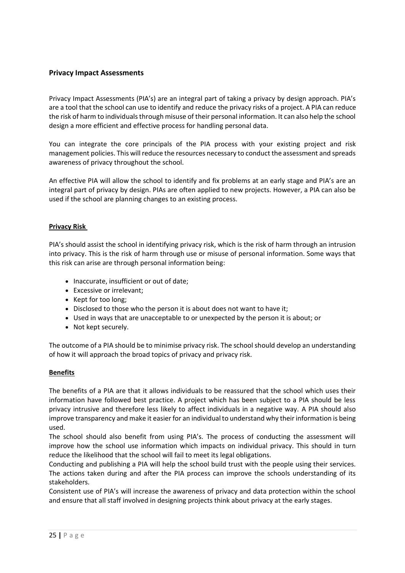# <span id="page-24-0"></span>**Privacy Impact Assessments**

Privacy Impact Assessments (PIA's) are an integral part of taking a privacy by design approach. PIA's are a tool that the school can use to identify and reduce the privacy risks of a project. A PIA can reduce the risk of harm to individuals through misuse of their personal information. It can also help the school design a more efficient and effective process for handling personal data.

You can integrate the core principals of the PIA process with your existing project and risk management policies. This will reduce the resources necessary to conduct the assessment and spreads awareness of privacy throughout the school.

An effective PIA will allow the school to identify and fix problems at an early stage and PIA's are an integral part of privacy by design. PIAs are often applied to new projects. However, a PIA can also be used if the school are planning changes to an existing process.

## **Privacy Risk**

PIA's should assist the school in identifying privacy risk, which is the risk of harm through an intrusion into privacy. This is the risk of harm through use or misuse of personal information. Some ways that this risk can arise are through personal information being:

- Inaccurate, insufficient or out of date;
- Excessive or irrelevant;
- Kept for too long;
- Disclosed to those who the person it is about does not want to have it;
- Used in ways that are unacceptable to or unexpected by the person it is about; or
- Not kept securely.

The outcome of a PIA should be to minimise privacy risk. The school should develop an understanding of how it will approach the broad topics of privacy and privacy risk.

#### **Benefits**

The benefits of a PIA are that it allows individuals to be reassured that the school which uses their information have followed best practice. A project which has been subject to a PIA should be less privacy intrusive and therefore less likely to affect individuals in a negative way. A PIA should also improve transparency and make it easier for an individual to understand why their information is being used.

The school should also benefit from using PIA's. The process of conducting the assessment will improve how the school use information which impacts on individual privacy. This should in turn reduce the likelihood that the school will fail to meet its legal obligations.

Conducting and publishing a PIA will help the school build trust with the people using their services. The actions taken during and after the PIA process can improve the schools understanding of its stakeholders.

Consistent use of PIA's will increase the awareness of privacy and data protection within the school and ensure that all staff involved in designing projects think about privacy at the early stages.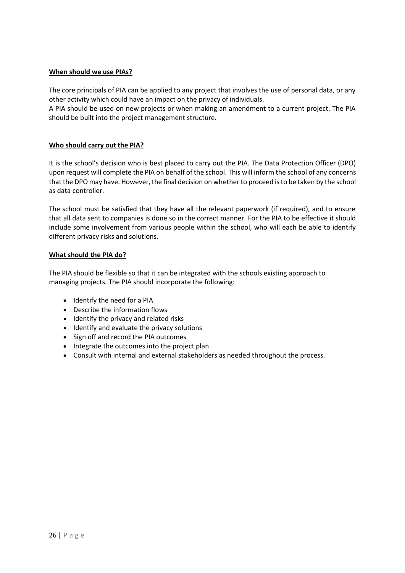## **When should we use PIAs?**

The core principals of PIA can be applied to any project that involves the use of personal data, or any other activity which could have an impact on the privacy of individuals.

A PIA should be used on new projects or when making an amendment to a current project. The PIA should be built into the project management structure.

#### **Who should carry out the PIA?**

It is the school's decision who is best placed to carry out the PIA. The Data Protection Officer (DPO) upon request will complete the PIA on behalf of the school. This will inform the school of any concerns that the DPO may have. However, the final decision on whether to proceed is to be taken by the school as data controller.

The school must be satisfied that they have all the relevant paperwork (if required), and to ensure that all data sent to companies is done so in the correct manner. For the PIA to be effective it should include some involvement from various people within the school, who will each be able to identify different privacy risks and solutions.

#### **What should the PIA do?**

The PIA should be flexible so that it can be integrated with the schools existing approach to managing projects. The PIA should incorporate the following:

- Identify the need for a PIA
- Describe the information flows
- Identify the privacy and related risks
- Identify and evaluate the privacy solutions
- Sign off and record the PIA outcomes
- Integrate the outcomes into the project plan
- Consult with internal and external stakeholders as needed throughout the process.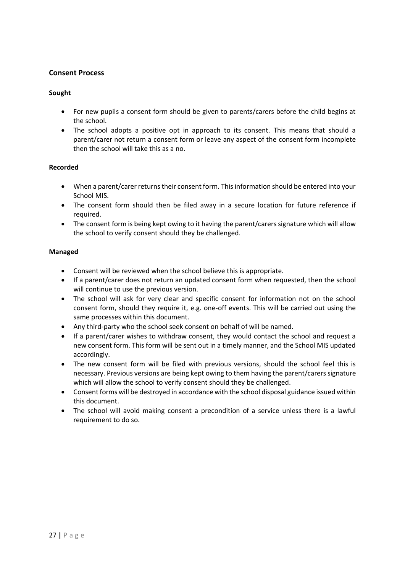# <span id="page-26-0"></span>**Consent Process**

## **Sought**

- For new pupils a consent form should be given to parents/carers before the child begins at the school.
- The school adopts a positive opt in approach to its consent. This means that should a parent/carer not return a consent form or leave any aspect of the consent form incomplete then the school will take this as a no.

## **Recorded**

- When a parent/carer returns their consent form. This information should be entered into your School MIS.
- The consent form should then be filed away in a secure location for future reference if required.
- The consent form is being kept owing to it having the parent/carers signature which will allow the school to verify consent should they be challenged.

## **Managed**

- Consent will be reviewed when the school believe this is appropriate.
- If a parent/carer does not return an updated consent form when requested, then the school will continue to use the previous version.
- The school will ask for very clear and specific consent for information not on the school consent form, should they require it, e.g. one-off events. This will be carried out using the same processes within this document.
- Any third-party who the school seek consent on behalf of will be named.
- If a parent/carer wishes to withdraw consent, they would contact the school and request a new consent form. This form will be sent out in a timely manner, and the School MIS updated accordingly.
- The new consent form will be filed with previous versions, should the school feel this is necessary. Previous versions are being kept owing to them having the parent/carers signature which will allow the school to verify consent should they be challenged.
- Consent forms will be destroyed in accordance with the school disposal guidance issued within this document.
- The school will avoid making consent a precondition of a service unless there is a lawful requirement to do so.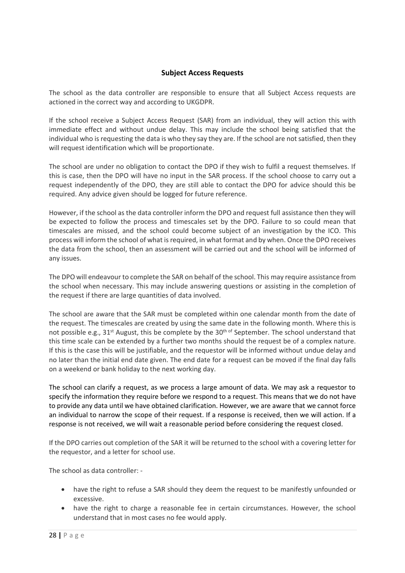# **Subject Access Requests**

<span id="page-27-0"></span>The school as the data controller are responsible to ensure that all Subject Access requests are actioned in the correct way and according to UKGDPR.

If the school receive a Subject Access Request (SAR) from an individual, they will action this with immediate effect and without undue delay. This may include the school being satisfied that the individual who is requesting the data is who they say they are. If the school are not satisfied, then they will request identification which will be proportionate.

The school are under no obligation to contact the DPO if they wish to fulfil a request themselves. If this is case, then the DPO will have no input in the SAR process. If the school choose to carry out a request independently of the DPO, they are still able to contact the DPO for advice should this be required. Any advice given should be logged for future reference.

However, if the school as the data controller inform the DPO and request full assistance then they will be expected to follow the process and timescales set by the DPO. Failure to so could mean that timescales are missed, and the school could become subject of an investigation by the ICO. This process will inform the school of what is required, in what format and by when. Once the DPO receives the data from the school, then an assessment will be carried out and the school will be informed of any issues.

The DPO will endeavour to complete the SAR on behalf of the school. This may require assistance from the school when necessary. This may include answering questions or assisting in the completion of the request if there are large quantities of data involved.

The school are aware that the SAR must be completed within one calendar month from the date of the request. The timescales are created by using the same date in the following month. Where this is not possible e.g., 31<sup>st</sup> August, this be complete by the 30<sup>th of</sup> September. The school understand that this time scale can be extended by a further two months should the request be of a complex nature. If this is the case this will be justifiable, and the requestor will be informed without undue delay and no later than the initial end date given. The end date for a request can be moved if the final day falls on a weekend or bank holiday to the next working day.

The school can clarify a request, as we process a large amount of data. We may ask a requestor to specify the information they require before we respond to a request. This means that we do not have to provide any data until we have obtained clarification. However, we are aware that we cannot force an individual to narrow the scope of their request. If a response is received, then we will action. If a response is not received, we will wait a reasonable period before considering the request closed.

If the DPO carries out completion of the SAR it will be returned to the school with a covering letter for the requestor, and a letter for school use.

The school as data controller: -

- have the right to refuse a SAR should they deem the request to be manifestly unfounded or excessive.
- have the right to charge a reasonable fee in certain circumstances. However, the school understand that in most cases no fee would apply.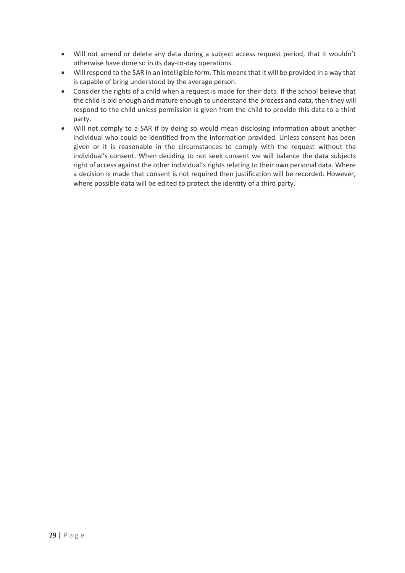- Will not amend or delete any data during a subject access request period, that it wouldn't otherwise have done so in its day-to-day operations.
- Will respond to the SAR in an intelligible form. This means that it will be provided in a way that is capable of bring understood by the average person.
- Consider the rights of a child when a request is made for their data. If the school believe that the child is old enough and mature enough to understand the process and data, then they will respond to the child unless permission is given from the child to provide this data to a third party.
- Will not comply to a SAR if by doing so would mean disclosing information about another individual who could be identified from the information provided. Unless consent has been given or it is reasonable in the circumstances to comply with the request without the individual's consent. When deciding to not seek consent we will balance the data subjects right of access against the other individual's rights relating to their own personal data. Where a decision is made that consent is not required then justification will be recorded. However, where possible data will be edited to protect the identity of a third party.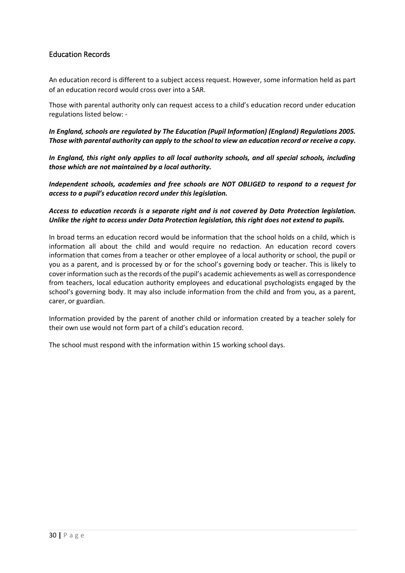# <span id="page-29-0"></span>Education Records

An education record is different to a subject access request. However, some information held as part of an education record would cross over into a SAR.

Those with parental authority only can request access to a child's education record under education regulations listed below: -

*In England, schools are regulated by The Education (Pupil Information) (England) Regulations 2005. Those with parental authority can apply to the school to view an education record or receive a copy.*

*In England, this right only applies to all local authority schools, and all special schools, including those which are not maintained by a local authority.*

*Independent schools, academies and free schools are NOT OBLIGED to respond to a request for access to a pupil's education record under this legislation.*

## *Access to education records is a separate right and is not covered by Data Protection legislation. Unlike the right to access under Data Protection legislation, this right does not extend to pupils.*

In broad terms an education record would be information that the school holds on a child, which is information all about the child and would require no redaction. An education record covers information that comes from a teacher or other employee of a local authority or school, the pupil or you as a parent, and is processed by or for the school's governing body or teacher. This is likely to cover information such asthe records of the pupil's academic achievements as well as correspondence from teachers, local education authority employees and educational psychologists engaged by the school's governing body. It may also include information from the child and from you, as a parent, carer, or guardian.

Information provided by the parent of another child or information created by a teacher solely for their own use would not form part of a child's education record.

The school must respond with the information within 15 working school days.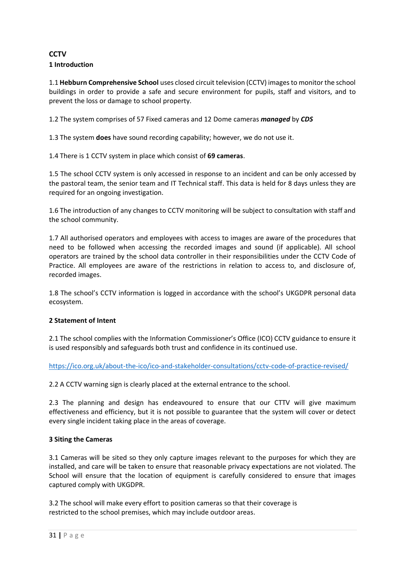# <span id="page-30-0"></span>**CCTV 1 Introduction**

1.1 **Hebburn Comprehensive School** uses closed circuit television (CCTV) images to monitor the school buildings in order to provide a safe and secure environment for pupils, staff and visitors, and to prevent the loss or damage to school property.

1.2 The system comprises of 57 Fixed cameras and 12 Dome cameras *managed* by *CDS*

1.3 The system **does** have sound recording capability; however, we do not use it.

1.4 There is 1 CCTV system in place which consist of **69 cameras**.

1.5 The school CCTV system is only accessed in response to an incident and can be only accessed by the pastoral team, the senior team and IT Technical staff. This data is held for 8 days unless they are required for an ongoing investigation.

1.6 The introduction of any changes to CCTV monitoring will be subject to consultation with staff and the school community.

1.7 All authorised operators and employees with access to images are aware of the procedures that need to be followed when accessing the recorded images and sound (if applicable). All school operators are trained by the school data controller in their responsibilities under the CCTV Code of Practice. All employees are aware of the restrictions in relation to access to, and disclosure of, recorded images.

1.8 The school's CCTV information is logged in accordance with the school's UKGDPR personal data ecosystem.

# **2 Statement of Intent**

2.1 The school complies with the Information Commissioner's Office (ICO) CCTV guidance to ensure it is used responsibly and safeguards both trust and confidence in its continued use.

[https://ico.org.uk/about-the-ico/ico-and-stakeholder-consultations/cctv-code-of-practice-revised/](https://ico.org.uk/media/about-the-ico/consultations/2044/draft-cctv-cop.pdf)

2.2 A CCTV warning sign is clearly placed at the external entrance to the school.

2.3 The planning and design has endeavoured to ensure that our CTTV will give maximum effectiveness and efficiency, but it is not possible to guarantee that the system will cover or detect every single incident taking place in the areas of coverage.

# **3 Siting the Cameras**

3.1 Cameras will be sited so they only capture images relevant to the purposes for which they are installed, and care will be taken to ensure that reasonable privacy expectations are not violated. The School will ensure that the location of equipment is carefully considered to ensure that images captured comply with UKGDPR.

3.2 The school will make every effort to position cameras so that their coverage is restricted to the school premises, which may include outdoor areas.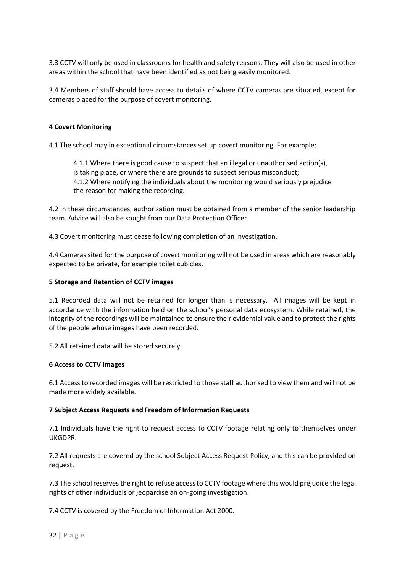3.3 CCTV will only be used in classrooms for health and safety reasons. They will also be used in other areas within the school that have been identified as not being easily monitored.

3.4 Members of staff should have access to details of where CCTV cameras are situated, except for cameras placed for the purpose of covert monitoring.

#### **4 Covert Monitoring**

4.1 The school may in exceptional circumstances set up covert monitoring. For example:

4.1.1 Where there is good cause to suspect that an illegal or unauthorised action(s), is taking place, or where there are grounds to suspect serious misconduct; 4.1.2 Where notifying the individuals about the monitoring would seriously prejudice the reason for making the recording.

4.2 In these circumstances, authorisation must be obtained from a member of the senior leadership team. Advice will also be sought from our Data Protection Officer.

4.3 Covert monitoring must cease following completion of an investigation.

4.4 Cameras sited for the purpose of covert monitoring will not be used in areas which are reasonably expected to be private, for example toilet cubicles.

#### **5 Storage and Retention of CCTV images**

5.1 Recorded data will not be retained for longer than is necessary. All images will be kept in accordance with the information held on the school's personal data ecosystem. While retained, the integrity of the recordings will be maintained to ensure their evidential value and to protect the rights of the people whose images have been recorded.

5.2 All retained data will be stored securely.

#### **6 Access to CCTV images**

6.1 Access to recorded images will be restricted to those staff authorised to view them and will not be made more widely available.

#### **7 Subject Access Requests and Freedom of Information Requests**

7.1 Individuals have the right to request access to CCTV footage relating only to themselves under UKGDPR.

7.2 All requests are covered by the school Subject Access Request Policy, and this can be provided on request.

7.3 The school reserves the right to refuse access to CCTV footage where this would prejudice the legal rights of other individuals or jeopardise an on-going investigation.

7.4 CCTV is covered by the Freedom of Information Act 2000.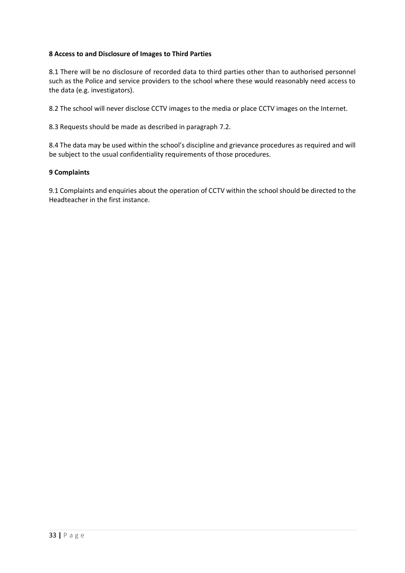## **8 Access to and Disclosure of Images to Third Parties**

8.1 There will be no disclosure of recorded data to third parties other than to authorised personnel such as the Police and service providers to the school where these would reasonably need access to the data (e.g. investigators).

8.2 The school will never disclose CCTV images to the media or place CCTV images on the Internet.

8.3 Requests should be made as described in paragraph 7.2.

8.4 The data may be used within the school's discipline and grievance procedures as required and will be subject to the usual confidentiality requirements of those procedures.

#### **9 Complaints**

9.1 Complaints and enquiries about the operation of CCTV within the school should be directed to the Headteacher in the first instance.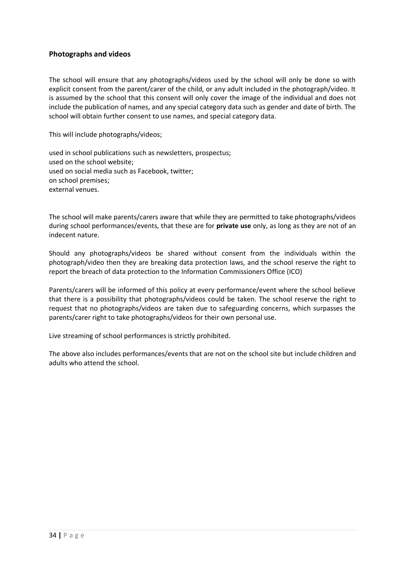# <span id="page-33-0"></span>**Photographs and videos**

The school will ensure that any photographs/videos used by the school will only be done so with explicit consent from the parent/carer of the child, or any adult included in the photograph/video. It is assumed by the school that this consent will only cover the image of the individual and does not include the publication of names, and any special category data such as gender and date of birth. The school will obtain further consent to use names, and special category data.

This will include photographs/videos;

used in school publications such as newsletters, prospectus; used on the school website; used on social media such as Facebook, twitter; on school premises; external venues.

The school will make parents/carers aware that while they are permitted to take photographs/videos during school performances/events, that these are for **private use** only, as long as they are not of an indecent nature.

Should any photographs/videos be shared without consent from the individuals within the photograph/video then they are breaking data protection laws, and the school reserve the right to report the breach of data protection to the Information Commissioners Office (ICO)

Parents/carers will be informed of this policy at every performance/event where the school believe that there is a possibility that photographs/videos could be taken. The school reserve the right to request that no photographs/videos are taken due to safeguarding concerns, which surpasses the parents/carer right to take photographs/videos for their own personal use.

Live streaming of school performances is strictly prohibited.

The above also includes performances/events that are not on the school site but include children and adults who attend the school.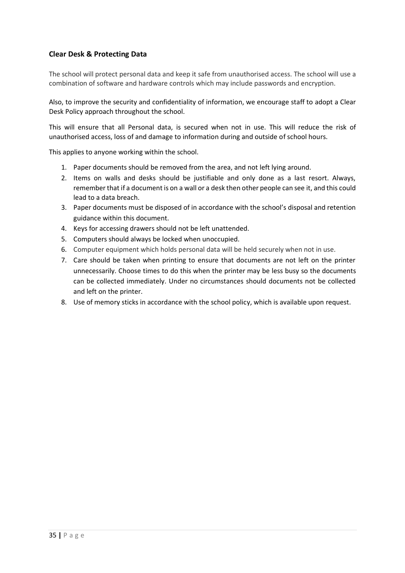# <span id="page-34-0"></span>**Clear Desk & Protecting Data**

The school will protect personal data and keep it safe from unauthorised access. The school will use a combination of software and hardware controls which may include passwords and encryption.

Also, to improve the security and confidentiality of information, we encourage staff to adopt a Clear Desk Policy approach throughout the school.

This will ensure that all Personal data, is secured when not in use. This will reduce the risk of unauthorised access, loss of and damage to information during and outside of school hours.

This applies to anyone working within the school.

- 1. Paper documents should be removed from the area, and not left lying around.
- 2. Items on walls and desks should be justifiable and only done as a last resort. Always, remember that if a document is on a wall or a desk then other people can see it, and this could lead to a data breach.
- 3. Paper documents must be disposed of in accordance with the school's disposal and retention guidance within this document.
- 4. Keys for accessing drawers should not be left unattended.
- 5. Computers should always be locked when unoccupied.
- 6. Computer equipment which holds personal data will be held securely when not in use.
- 7. Care should be taken when printing to ensure that documents are not left on the printer unnecessarily. Choose times to do this when the printer may be less busy so the documents can be collected immediately. Under no circumstances should documents not be collected and left on the printer.
- 8. Use of memory sticks in accordance with the school policy, which is available upon request.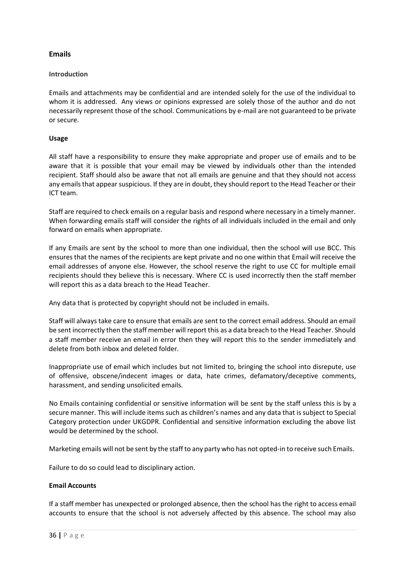# <span id="page-35-0"></span>**Emails**

## **Introduction**

Emails and attachments may be confidential and are intended solely for the use of the individual to whom it is addressed. Any views or opinions expressed are solely those of the author and do not necessarily represent those of the school. Communications by e-mail are not guaranteed to be private or secure.

## **Usage**

All staff have a responsibility to ensure they make appropriate and proper use of emails and to be aware that it is possible that your email may be viewed by individuals other than the intended recipient. Staff should also be aware that not all emails are genuine and that they should not access any emails that appear suspicious. If they are in doubt, they should report to the Head Teacher or their ICT team.

Staff are required to check emails on a regular basis and respond where necessary in a timely manner. When forwarding emails staff will consider the rights of all individuals included in the email and only forward on emails when appropriate.

If any Emails are sent by the school to more than one individual, then the school will use BCC. This ensures that the names of the recipients are kept private and no one within that Email will receive the email addresses of anyone else. However, the school reserve the right to use CC for multiple email recipients should they believe this is necessary. Where CC is used incorrectly then the staff member will report this as a data breach to the Head Teacher.

Any data that is protected by copyright should not be included in emails.

Staff will always take care to ensure that emails are sent to the correct email address. Should an email be sent incorrectly then the staff member will report this as a data breach to the Head Teacher. Should a staff member receive an email in error then they will report this to the sender immediately and delete from both inbox and deleted folder.

Inappropriate use of email which includes but not limited to, bringing the school into disrepute, use of offensive, obscene/indecent images or data, hate crimes, defamatory/deceptive comments, harassment, and sending unsolicited emails.

No Emails containing confidential or sensitive information will be sent by the staff unless this is by a secure manner. This will include items such as children's names and any data that is subject to Special Category protection under UKGDPR. Confidential and sensitive information excluding the above list would be determined by the school.

Marketing emails will not be sent by the staff to any party who has not opted-in to receive such Emails.

Failure to do so could lead to disciplinary action.

#### **Email Accounts**

If a staff member has unexpected or prolonged absence, then the school has the right to access email accounts to ensure that the school is not adversely affected by this absence. The school may also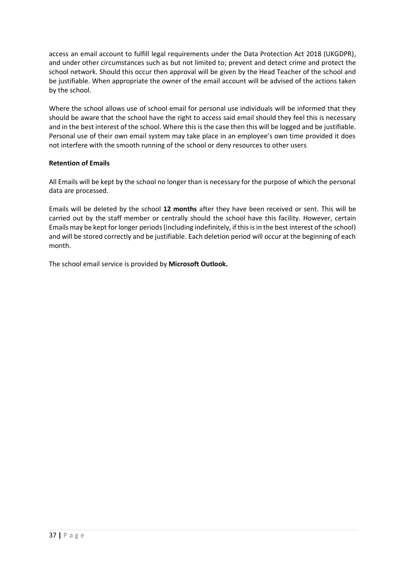access an email account to fulfill legal requirements under the Data Protection Act 2018 (UKGDPR), and under other circumstances such as but not limited to; prevent and detect crime and protect the school network. Should this occur then approval will be given by the Head Teacher of the school and be justifiable. When appropriate the owner of the email account will be advised of the actions taken by the school.

Where the school allows use of school email for personal use individuals will be informed that they should be aware that the school have the right to access said email should they feel this is necessary and in the best interest of the school. Where this is the case then this will be logged and be justifiable. Personal use of their own email system may take place in an employee's own time provided it does not interfere with the smooth running of the school or deny resources to other users.

# **Retention of Emails**

All Emails will be kept by the school no longer than is necessary for the purpose of which the personal data are processed.

Emails will be deleted by the school **12 months** after they have been received or sent. This will be carried out by the staff member or centrally should the school have this facility. However, certain Emails may be kept for longer periods (including indefinitely, if this is in the best interest of the school) and will be stored correctly and be justifiable. Each deletion period will occur at the beginning of each month.

The school email service is provided by **Microsoft Outlook.**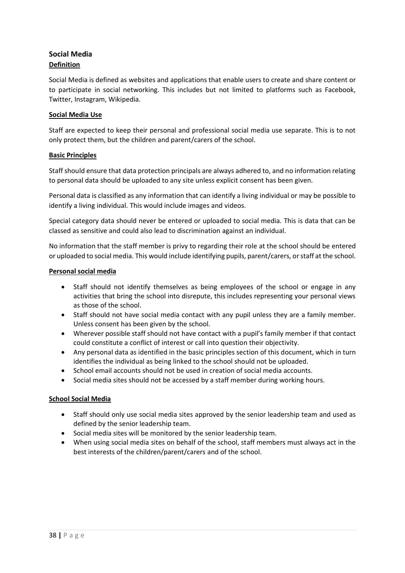# <span id="page-37-0"></span>**Social Media Definition**

Social Media is defined as websites and applications that enable users to create and share content or to participate in social networking. This includes but not limited to platforms such as Facebook, Twitter, Instagram, Wikipedia.

# **Social Media Use**

Staff are expected to keep their personal and professional social media use separate. This is to not only protect them, but the children and parent/carers of the school.

# **Basic Principles**

Staff should ensure that data protection principals are always adhered to, and no information relating to personal data should be uploaded to any site unless explicit consent has been given.

Personal data is classified as any information that can identify a living individual or may be possible to identify a living individual. This would include images and videos.

Special category data should never be entered or uploaded to social media. This is data that can be classed as sensitive and could also lead to discrimination against an individual.

No information that the staff member is privy to regarding their role at the school should be entered or uploaded to social media. This would include identifying pupils, parent/carers, or staff at the school.

## **Personal social media**

- Staff should not identify themselves as being employees of the school or engage in any activities that bring the school into disrepute, this includes representing your personal views as those of the school.
- Staff should not have social media contact with any pupil unless they are a family member. Unless consent has been given by the school.
- Wherever possible staff should not have contact with a pupil's family member if that contact could constitute a conflict of interest or call into question their objectivity.
- Any personal data as identified in the basic principles section of this document, which in turn identifies the individual as being linked to the school should not be uploaded.
- School email accounts should not be used in creation of social media accounts.
- Social media sites should not be accessed by a staff member during working hours.

# **School Social Media**

- Staff should only use social media sites approved by the senior leadership team and used as defined by the senior leadership team.
- Social media sites will be monitored by the senior leadership team.
- When using social media sites on behalf of the school, staff members must always act in the best interests of the children/parent/carers and of the school.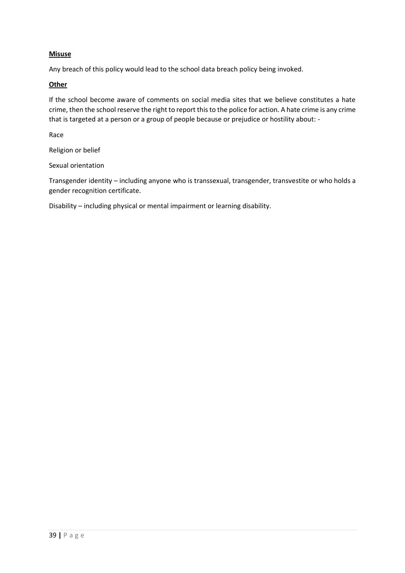# **Misuse**

Any breach of this policy would lead to the school data breach policy being invoked.

#### **Other**

If the school become aware of comments on social media sites that we believe constitutes a hate crime, then the school reserve the right to report this to the police for action. A hate crime is any crime that is targeted at a person or a group of people because or prejudice or hostility about: -

Race

Religion or belief

Sexual orientation

Transgender identity – including anyone who is transsexual, transgender, transvestite or who holds a gender recognition certificate.

Disability – including physical or mental impairment or learning disability.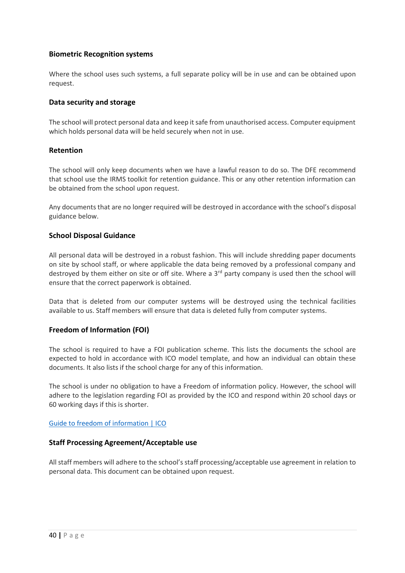# <span id="page-39-0"></span>**Biometric Recognition systems**

Where the school uses such systems, a full separate policy will be in use and can be obtained upon request.

## <span id="page-39-1"></span>**Data security and storage**

The school will protect personal data and keep it safe from unauthorised access. Computer equipment which holds personal data will be held securely when not in use.

## <span id="page-39-2"></span>**Retention**

The school will only keep documents when we have a lawful reason to do so. The DFE recommend that school use the IRMS toolkit for retention guidance. This or any other retention information can be obtained from the school upon request.

Any documents that are no longer required will be destroyed in accordance with the school's disposal guidance below.

## <span id="page-39-3"></span>**School Disposal Guidance**

All personal data will be destroyed in a robust fashion. This will include shredding paper documents on site by school staff, or where applicable the data being removed by a professional company and destroyed by them either on site or off site. Where a 3<sup>rd</sup> party company is used then the school will ensure that the correct paperwork is obtained.

Data that is deleted from our computer systems will be destroyed using the technical facilities available to us. Staff members will ensure that data is deleted fully from computer systems.

# <span id="page-39-4"></span>**Freedom of Information (FOI)**

The school is required to have a FOI publication scheme. This lists the documents the school are expected to hold in accordance with ICO model template, and how an individual can obtain these documents. It also lists if the school charge for any of this information.

The school is under no obligation to have a Freedom of information policy. However, the school will adhere to the legislation regarding FOI as provided by the ICO and respond within 20 school days or 60 working days if this is shorter.

#### [Guide to freedom of information | ICO](https://ico.org.uk/for-organisations/guide-to-freedom-of-information/)

#### <span id="page-39-5"></span>**Staff Processing Agreement/Acceptable use**

All staff members will adhere to the school's staff processing/acceptable use agreement in relation to personal data. This document can be obtained upon request.